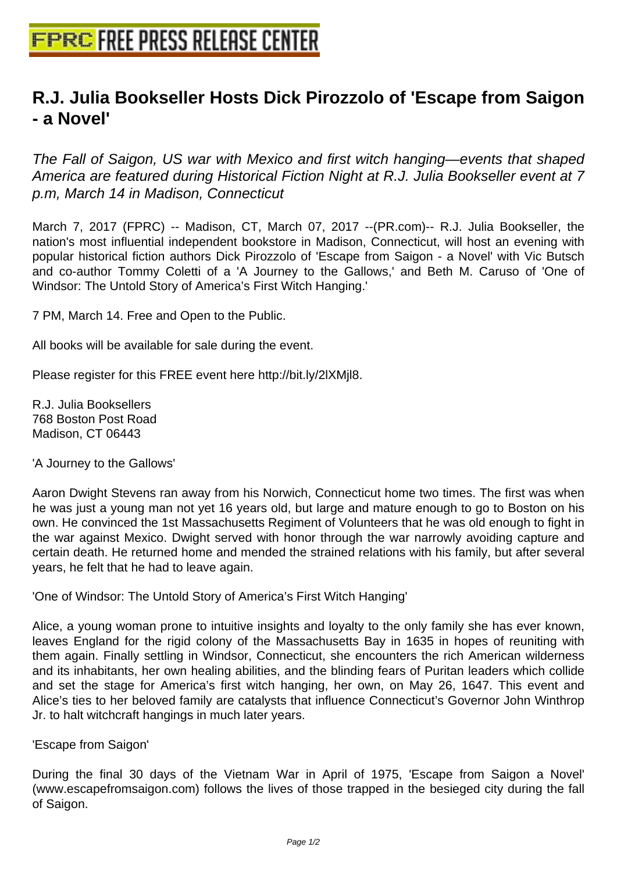## **[R.J. Julia Bookseller Hosts Dick Pi](http://www.free-press-release-center.info)rozzolo of 'Escape from Saigon - a Novel'**

The Fall of Saigon, US war with Mexico and first witch hanging—events that shaped America are featured during Historical Fiction Night at R.J. Julia Bookseller event at 7 p.m, March 14 in Madison, Connecticut

March 7, 2017 (FPRC) -- Madison, CT, March 07, 2017 --(PR.com)-- R.J. Julia Bookseller, the nation's most influential independent bookstore in Madison, Connecticut, will host an evening with popular historical fiction authors Dick Pirozzolo of 'Escape from Saigon - a Novel' with Vic Butsch and co-author Tommy Coletti of a 'A Journey to the Gallows,' and Beth M. Caruso of 'One of Windsor: The Untold Story of America's First Witch Hanging.'

7 PM, March 14. Free and Open to the Public.

All books will be available for sale during the event.

Please register for this FREE event here http://bit.ly/2lXMjl8.

R.J. Julia Booksellers 768 Boston Post Road Madison, CT 06443

'A Journey to the Gallows'

Aaron Dwight Stevens ran away from his Norwich, Connecticut home two times. The first was when he was just a young man not yet 16 years old, but large and mature enough to go to Boston on his own. He convinced the 1st Massachusetts Regiment of Volunteers that he was old enough to fight in the war against Mexico. Dwight served with honor through the war narrowly avoiding capture and certain death. He returned home and mended the strained relations with his family, but after several years, he felt that he had to leave again.

'One of Windsor: The Untold Story of America's First Witch Hanging'

Alice, a young woman prone to intuitive insights and loyalty to the only family she has ever known, leaves England for the rigid colony of the Massachusetts Bay in 1635 in hopes of reuniting with them again. Finally settling in Windsor, Connecticut, she encounters the rich American wilderness and its inhabitants, her own healing abilities, and the blinding fears of Puritan leaders which collide and set the stage for America's first witch hanging, her own, on May 26, 1647. This event and Alice's ties to her beloved family are catalysts that influence Connecticut's Governor John Winthrop Jr. to halt witchcraft hangings in much later years.

'Escape from Saigon'

During the final 30 days of the Vietnam War in April of 1975, 'Escape from Saigon a Novel' (www.escapefromsaigon.com) follows the lives of those trapped in the besieged city during the fall of Saigon.